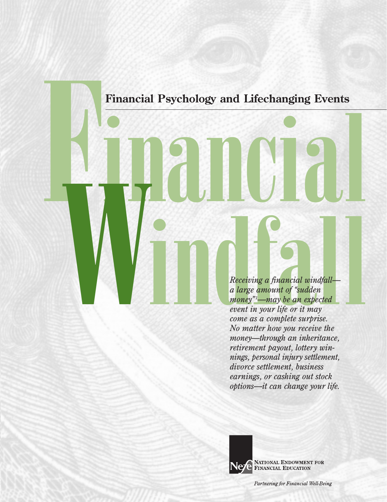**Financial Psychology and Lifechanging Events**

Financial Psychology and Lifechanging Events<br> **Financial Psychology and Lifechanging Events**<br> **Financial United States**<br>
Receiving a financial windfall—<br>
Receiving a financial windfall—<br>
Receiving a financial windfall—<br>
No *Receiving a financial windfall a large amount of "sudden money"1 —may be an expected event in your life or it may come as a complete surprise. No matter how you receive the money—through an inheritance, retirement payout, lottery winnings, personal injury settlement, divorce settlement, business earnings, or cashing out stock options—it can change your life.* 



Ne PARTIONAL ENDOWMENT FOR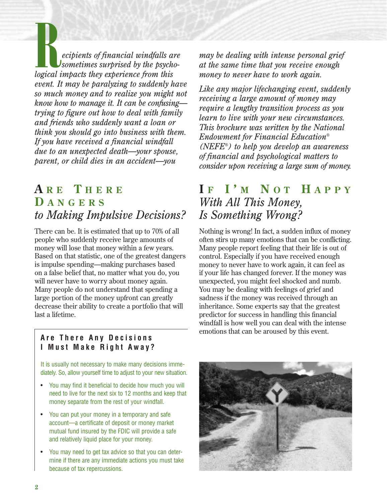**R**<br>*ecipients of financial windfalls are*<br>*logical impacts they experience from this sometimes surprised by the psychoevent. It may be paralyzing to suddenly have so much money and to realize you might not know how to manage it. It can be confusing trying to figure out how to deal with family and friends who suddenly want a loan or think you should go into business with them. If you have received a financial windfall due to an unexpected death—your spouse, parent, or child dies in an accident—you*

## **A R E T HERE D ANGERS** *to Making Impulsive Decisions?*

There can be. It is estimated that up to 70% of all people who suddenly receive large amounts of money will lose that money within a few years. Based on that statistic, one of the greatest dangers is impulse spending—making purchases based on a false belief that, no matter what you do, you will never have to worry about money again. Many people do not understand that spending a large portion of the money upfront can greatly decrease their ability to create a portfolio that will last a lifetime.

*may be dealing with intense personal grief at the same time that you receive enough money to never have to work again.* 

*Like any major lifechanging event, suddenly receiving a large amount of money may require a lengthy transition process as you learn to live with your new circumstances. This brochure was written by the National Endowment for Financial Education® (NEFE®) to help you develop an awareness of financial and psychological matters to consider upon receiving a large sum of money.* 

## **I F I ' M N O T H APPY** *With All This Money, Is Something Wrong?*

Nothing is wrong! In fact, a sudden influx of money often stirs up many emotions that can be conflicting. Many people report feeling that their life is out of control. Especially if you have received enough money to never have to work again, it can feel as if your life has changed forever. If the money was unexpected, you might feel shocked and numb. You may be dealing with feelings of grief and sadness if the money was received through an inheritance. Some experts say that the greatest predictor for success in handling this financial windfall is how well you can deal with the intense emotions that can be aroused by this event.

#### **Are There Any Decisions I Must Make Right Away?**

It is usually not necessary to make many decisions immediately. So, allow yourself time to adjust to your new situation.

- You may find it beneficial to decide how much you will need to live for the next six to 12 months and keep that money separate from the rest of your windfall.
- You can put your money in a temporary and safe account—a certificate of deposit or money market mutual fund insured by the FDIC will provide a safe and relatively liquid place for your money.
- You may need to get tax advice so that you can determine if there are any immediate actions you must take because of tax repercussions.

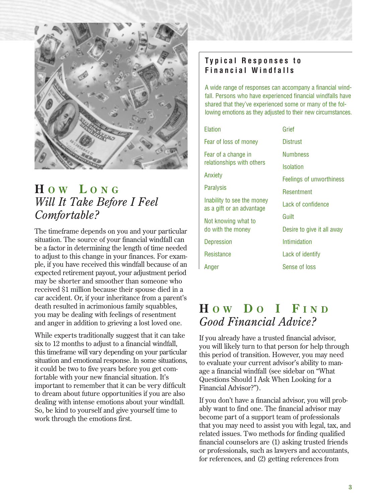

## **H O W L ONG** *Will It Take Before I Feel Comfortable?*

The timeframe depends on you and your particular situation. The source of your financial windfall can be a factor in determining the length of time needed to adjust to this change in your finances. For example, if you have received this windfall because of an expected retirement payout, your adjustment period may be shorter and smoother than someone who received \$1 million because their spouse died in a car accident. Or, if your inheritance from a parent's death resulted in acrimonious family squabbles, you may be dealing with feelings of resentment and anger in addition to grieving a lost loved one.

While experts traditionally suggest that it can take six to 12 months to adjust to a financial windfall, this timeframe will vary depending on your particular situation and emotional response. In some situations, it could be two to five years before you get comfortable with your new financial situation. It's important to remember that it can be very difficult to dream about future opportunities if you are also dealing with intense emotions about your windfall. So, be kind to yourself and give yourself time to work through the emotions first.

#### **Typical Responses to Financial Windfalls**

A wide range of responses can accompany a financial windfall. Persons who have experienced financial windfalls have shared that they've experienced some or many of the following emotions as they adjusted to their new circumstances.

| Elation                                                 | Grief                      |
|---------------------------------------------------------|----------------------------|
| Fear of loss of money                                   | <b>Distrust</b>            |
| Fear of a change in                                     | <b>Numbness</b>            |
| relationships with others                               | <b>Isolation</b>           |
| Anxiety                                                 | Feelings of unworthiness   |
| <b>Paralysis</b>                                        | Resentment                 |
| Inability to see the money<br>as a gift or an advantage | Lack of confidence         |
| Not knowing what to                                     | Guilt                      |
| do with the money                                       | Desire to give it all away |
| Depression                                              | Intimidation               |
| <b>Resistance</b>                                       | Lack of identify           |
| Anger                                                   | Sense of loss              |
|                                                         |                            |

## **H O W D O I F IND** *Good Financial Advice?*

If you already have a trusted financial advisor, you will likely turn to that person for help through this period of transition. However, you may need to evaluate your current advisor's ability to manage a financial windfall (see sidebar on "What Questions Should I Ask When Looking for a Financial Advisor?").

If you don't have a financial advisor, you will probably want to find one. The financial advisor may become part of a support team of professionals that you may need to assist you with legal, tax, and related issues. Two methods for finding qualified financial counselors are (1) asking trusted friends or professionals, such as lawyers and accountants, for references, and (2) getting references from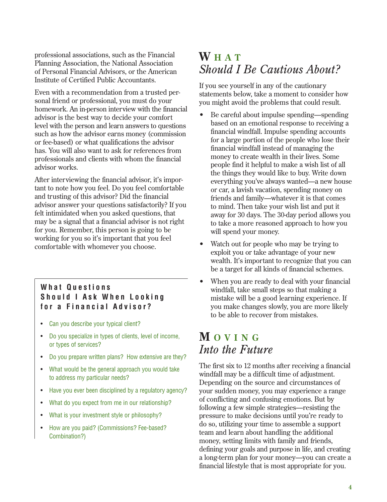professional associations, such as the Financial Planning Association, the National Association of Personal Financial Advisors, or the American Institute of Certified Public Accountants.

Even with a recommendation from a trusted personal friend or professional, you must do your homework. An in-person interview with the financial advisor is the best way to decide your comfort level with the person and learn answers to questions such as how the advisor earns money (commission or fee-based) or what qualifications the advisor has. You will also want to ask for references from professionals and clients with whom the financial advisor works.

After interviewing the financial advisor, it's important to note how you feel. Do you feel comfortable and trusting of this advisor? Did the financial advisor answer your questions satisfactorily? If you felt intimidated when you asked questions, that may be a signal that a financial advisor is not right for you. Remember, this person is going to be working for you so it's important that you feel comfortable with whomever you choose.

#### **What Questions Should I Ask When Looking for a Financial Advisor?**

- Can you describe your typical client?
- Do you specialize in types of clients, level of income, or types of services?
- Do you prepare written plans? How extensive are they?
- What would be the general approach you would take to address my particular needs?
- Have you ever been disciplined by a regulatory agency?
- What do you expect from me in our relationship?
- What is your investment style or philosophy?
- How are you paid? (Commissions? Fee-based? Combination?)

### **W HAT** *Should I Be Cautious About?*

If you see yourself in any of the cautionary statements below, take a moment to consider how you might avoid the problems that could result.

- Be careful about impulse spending—spending based on an emotional response to receiving a financial windfall. Impulse spending accounts for a large portion of the people who lose their financial windfall instead of managing the money to create wealth in their lives. Some people find it helpful to make a wish list of all the things they would like to buy. Write down everything you've always wanted—a new house or car, a lavish vacation, spending money on friends and family—whatever it is that comes to mind. Then take your wish list and put it away for 30 days. The 30-day period allows you to take a more reasoned approach to how you will spend your money.
- Watch out for people who may be trying to exploit you or take advantage of your new wealth. It's important to recognize that you can be a target for all kinds of financial schemes.
- When you are ready to deal with your financial windfall, take small steps so that making a mistake will be a good learning experience. If you make changes slowly, you are more likely to be able to recover from mistakes.

### **M OVING** *Into the Future*

The first six to 12 months after receiving a financial windfall may be a difficult time of adjustment. Depending on the source and circumstances of your sudden money, you may experience a range of conflicting and confusing emotions. But by following a few simple strategies—resisting the pressure to make decisions until you're ready to do so, utilizing your time to assemble a support team and learn about handling the additional money, setting limits with family and friends, defining your goals and purpose in life, and creating a long-term plan for your money—you can create a financial lifestyle that is most appropriate for you.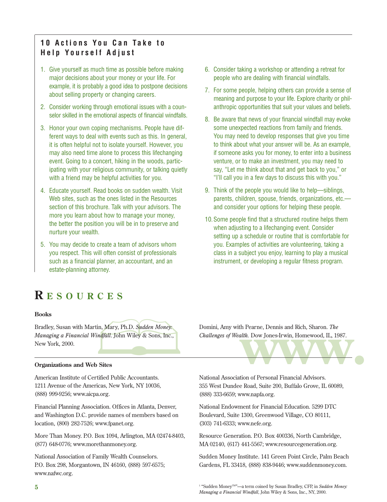#### **10 Actions You Can Take to Help Yourself Adjust**

- 1. Give yourself as much time as possible before making major decisions about your money or your life. For example, it is probably a good idea to postpone decisions about selling property or changing careers.
- 2. Consider working through emotional issues with a counselor skilled in the emotional aspects of financial windfalls.
- 3. Honor your own coping mechanisms. People have different ways to deal with events such as this. In general, it is often helpful not to isolate yourself. However, you may also need time alone to process this lifechanging event. Going to a concert, hiking in the woods, participating with your religious community, or talking quietly with a friend may be helpful activities for you.
- 4. Educate yourself. Read books on sudden wealth. Visit Web sites, such as the ones listed in the Resources section of this brochure. Talk with your advisors. The more you learn about how to manage your money, the better the position you will be in to preserve and nurture your wealth.
- 5. You may decide to create a team of advisors whom you respect. This will often consist of professionals such as a financial planner, an accountant, and an estate-planning attorney.

# **R ESOURCES**

#### **Books**

al planner, an accountant, and an<br>ttorney.<br> **CES**<br>
windfall. John Wiley & Sons, Inc., Bradley, Susan with Martin, Mary, Ph.D. *Sudden Money: Managing a Financial Windfall*. John Wiley & Sons, Inc., New York, 2000.

#### **Organizations and Web Sites**

American Institute of Certified Public Accountants. 1211 Avenue of the Americas, New York, NY 10036, (888) 999-9256; www.aicpa.org.

Financial Planning Association. Offices in Atlanta, Denver, and Washington D.C. provide names of members based on location, (800) 282-7526; www.fpanet.org.

More Than Money. P.O. Box 1094, Arlington, MA 02474-8403, (877) 648-0776; www.morethanmoney.org.

National Association of Family Wealth Counselors. P.O. Box 298, Morgantown, IN 46160, (888) 597-6575; www.nafwc.org.

- 6. Consider taking a workshop or attending a retreat for people who are dealing with financial windfalls.
- 7. For some people, helping others can provide a sense of meaning and purpose to your life. Explore charity or philanthropic opportunities that suit your values and beliefs.
- 8. Be aware that news of your financial windfall may evoke some unexpected reactions from family and friends. You may need to develop responses that give you time to think about what your answer will be. As an example, if someone asks you for money, to enter into a business venture, or to make an investment, you may need to say, "Let me think about that and get back to you," or "I'll call you in a few days to discuss this with you."
- 9. Think of the people you would like to help—siblings, parents, children, spouse, friends, organizations, etc. and consider your options for helping these people.
- 10.Some people find that a structured routine helps them when adjusting to a lifechanging event. Consider setting up a schedule or routine that is comfortable for you. Examples of activities are volunteering, taking a class in a subject you enjoy, learning to play a musical instrument, or developing a regular fitness program.

rtin, Mary, Ph.D. Sudden Money: Domini, Amy with Pearne, Dennis and Rich, Sharon. *The Vindfall.* John Wiley & Sons, Inc., Challenges of Wealth. Dow Jones-Irwin, Homewood, IL, 1987.<br>
Eb Sites Domini, Amy with Pearne, Dennis and Rich, Sharon. *The Challenges of Wealth.* Dow Jones-Irwin, Homewood, IL, 1987.

National Association of Personal Financial Advisors. 355 West Dundee Road, Suite 200, Buffalo Grove, IL 60089, (888) 333-6659; www.napfa.org.

National Endowment for Financial Education. 5299 DTC Boulevard, Suite 1300, Greenwood Village, CO 80111, (303) 741-6333; www.nefe.org.

Resource Generation. P.O. Box 400336, North Cambridge, MA 02140, (617) 441-5567; www.resourcegeneration.org.

Sudden Money Institute. 141 Green Point Circle, Palm Beach Gardens, FL 33418, (888) 838-9446; www.suddenmoney.com.

<sup>1</sup> "Sudden Money<sup>TM"</sup>—a term coined by Susan Bradley, CFP, in *Sudden Money*: *Managing a Financial Windfall*, John Wiley & Sons, Inc., NY, 2000.